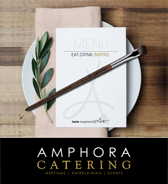

# AMPHORA CATERING MEETINGS | ENTERTAINING | EVENTS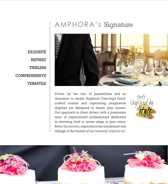# AMPHORA's Signature



Driven by the lure of possibilities and an obsession to create, Amphora Catering's handcrafted cuisine and captivating imaginative displays are designed to dazzle your senses. Our approach is client driven, with a passionate team of experienced professionals dedicated to elevating food to center stage at your event. Savor the service, experience the excitement and indulge in the flavors of our *tastefully inspired art.*





**EXQUISITE REFINED TIMELESS COMPREHENSIVE VERSATILE**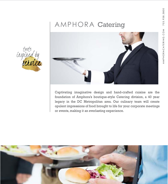# AMPHORA Catering



Captivating imaginative design and hand-crafted cuisine are the foundation of Amphora's boutique-style Catering division, a 40 year legacy in the DC Metropolitan area. Our culinary team will create opulent impressions of food brought to life for your corporate meetings or events, making it an everlasting experience.



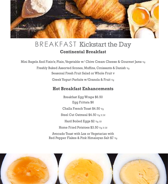

# BREAKFAST Kickstart the Day **Continental Breakfast**

Mini Bagels And Fixin's; Plain, Vegetable w/ Chive Cream Cheese & Gourmet Jams Vg

Freshly Baked Assorted Scones, Muffins, Croissants & Danish Vg Seasonal Fresh Fruit Salad or Whole Fruit v Greek Yogurt Parfaits w/Granola & Fruit Vg

#### **Hot Breakfast Enhancements**

Breakfast Egg Wraps \$6.50 Egg Frittata \$6 Challa French Toast \$4.50 Vg Steel Cut Oatmeal \$4.50 Vg, V, Gf Hard Boiled Eggs \$2 Vg, Gf Home Fried Potatoes \$3.50 Vg, V, Gf

Avocado Toast with Lox or Vegetarian with Red Pepper Flakes & Pink Himalayan Salt \$7 Vg

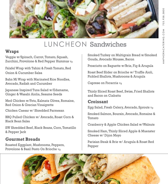

# LUNCHEON Sandwiches

### **Wraps**

Veggie w/Spinach, Carrot, Tomato, Squash, Zucchini, Provolone & Red Pepper Hummus vg

Falafel Wrap with Tahini & Fresh Tomato, Red Onion & Cucumber Salsa

Bahn Mi Wrap with Marinated Rice Noodles, Avocado, Radish and Cucumber

Japanese Inspired Tuna Salad w/Edamame, Ginger & Wasabi Aiolia, Sesame Seeds

Med Chicken w/Feta, Kalmata Olives, Romaine, Red Onion & Grecian Vinaigrette

Chicken Caesar w/ Shredded Parmesan

BBQ Pulled Chicken w/ Avocado, Roast Corn & Black Bean Salsa

SW Shredded Beef, Black Beans, Corn, Tomatillo & Pepper Jack

## **Gourmet Breads**

Roasted Eggplant, Mushrooms, Peppers, Provolone & Basil Pesto On Brioche Vg

Smoked Turkey on Multigrain Bread w/Smoked Gouda, Avocado Mousse, Bacon

Prosciutto on Baguette w/Brie, Fig & Arugula

Roast Beef Slider on Brioche w/ Truffle Aioli, Pickled Shallots, Mushrooms & Arugula

Caprese on Focaccia Vg

Thinly Sliced Roast Beef, Swiss, Fried Shallots and Bacon on Ciabatta

## **Croissant**

Egg Salad, Fresh Celery, Avocado, Sprouts Vg

Smoked Salmon, Boursin, Avocado, Romaine & Tomato

Cranberry & Apple Chicken Salad w/Walnuts

Smoked Ham, Thinly Sliced Apple & Muenster Cheese w/ Dijon Mayo

Parisian Steak & Brie w/ Arugula & Roast Red Pepper

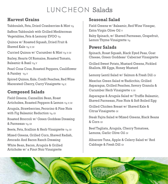# LUNCHEON Salads

### **Harvest Grains**

Tabbouleh, Feta, Dried Cranberries & Mint Vg Saffron Tabbouleh with Grilled Mediterrean Vegetables, Feta & Lemony EVOO Vg Quinoa w/ Roasted Squash, Dried Fruit & Shaved Kale Vg, V, Gf Curried Quinoa w/ Cucumber & Mint Vg, V, Gf Barley, Hearts Of Romaine, Roasted Tomato, Balsamic & Basil Vg, V Pearl Cous Cous, Roasted Peppers, Cauliflower & Parsley Vg, V

Spiced Quinoa, Kale, Confit Peaches, Red Wine Macerated Cherry, Curry Vinaigrette Vg, V,

## **Composed Salads**

Field Greens, Cannellini Bean, Roast Artichokes, Roasted Peppers & Lemon Vg, V, Gf Arugula, Strawberries, Pecorino & Pine Nuts with Fig Balsamic Reduction Vg, Gf

Roasted Broccoli w/ Green Goddess Dressing & Parmesan Vg, Gf

Beets, Feta, Scallion & Herb Vinaigrette Vg, Gf

Mixed Greens, Grilled Corn, Shaved Radish, Avocado And Bacon Ranch Dressing

White Bean, Bacon, Arugula & Grilled Artichoke w/ a Pinot Noir Vinaigrette

## **Seasonal Salad**

Field Greens w/ Balsamic, Red Wine Vinegar, Extra Virgin Olive Oil V

Baby Spinach, w/ Shaved Parmesan, Grapefruit, Lemon Thyme Vinaigrette vg

### **Power Salads**

Spinach, Roast Squash, Black Eyed Peas, Goat Cheese, Green Goddess/ Cabernet Vinaigrette

Grilled Sweet Potato, Mustard Greens, Pickled Shallots, HB Eggs, Honey Mustard

Lemony Lentil Salad w/ Salmon & Fresh Dill Gf

Mesclun Green Salad w/Radicchio, Grilled Asparagus, Grilled Peaches, Savory Granola & Cucumber Herb Vinaigrette v, Gf

Asparagus & Arugula Salad w/ Truffle Balsamic, Shaved Parmesan, Pine Nuts & Soft Boiled Egg

Grilled Chicken Breast w/ Shaved Kale & Citrus Vinaigrette Gf

Steak Fajita Salad w/Mixed Greens, Black Beans & Corn Gf

Beef Tagliata, Arugula, Cherry Tomatoes, Lemons, Garlic Olive Oil Gf

Albacore Tuna, Apple & Celery Salad w/ Red Cabbage & Fresh Dill Gf

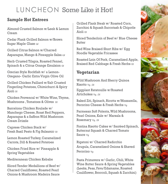# LUNCHEON Some Like it Hot!

## **Sample Hot Entrees**

Almond Crusted Salmon w/Leek & Lemon Cream

Cedar Plank Grilled Salmon w/Brown Sugar Maple Glaze Gf

Grilled Citrus Salmon w/Charred Asparagus, Mango & Pineapple Salsa Gf

Herb Crusted Tilapia, Roasted Fennel, Spinach & a Citrus Orange Emulsion Gf

Grecian Style Rockfish w/ a Lemon-Oregano- Garlic Extra Virgin Olive Oil

Grilled Chicken Paillard w/Salt Crusted Fingerling Potatoes, Chimichurri & Spicy Aioli Gf

Chicken Provencal w/ White Wine, Thyme, Mushrooms, Tomatoes & Olives Gf

Barcelona Chicken Roulade w/ Manchego Cheese, Roast Red Peppers, Asparagus & a Saffron Wild Mushroom Cream Drizzle

Caprese Chicken Stack w/ Fresh Basil Pesto & Fig Balsamic Gf

Lemon Roasted Turkey, Caramelized Carrots, Dill & Roasted Potatoes

Chicken Fried Rice w/ Pineapple & Spring Vegetables

Mediteranean Chicken Kebabs

Sliced Tender Medallions of Beef w/ Charred Cauliflower, Roasted Pearl Onions & Mushroom Madeira Sauce

Grilled Flank Steak w/ Roasted Corn, Zucchini & Squash Succotash & Chipotle Aioli Gf

Sliced Tenderloin of Beef w/ Blue Cheese Butter

Red Wine Braised Short Ribs w/ Egg Noodle Vegetable Fricassee

Roasted Loin Of Pork, Caramelized Apple, Braised Red Cabbage & Fresh Herbs Gf

## **Vegetarian**

Wild Mushroom And Sherry Quinoa Risotto Vg , Gf

Eggplant Ratatouille w/Roasted Artichokes  $v<sub>g</sub>$ , Gf

Baked Ziti, Spinach, Ricotta w/Mozzarella, Pecorino Cheese & Fresh Herbs v<sub>g</sub>

Parmesan Soft Polenta, Wild Mushrooms, Pearl Onions, Kale w/ Marsala & Rosemary Vg , Gf

Fontina Risotto Cakes w/ Sautéed Spinach, Butternut Squash & Charred Tomato Sauce <sub>Vg</sub>

Rigatoni w/ Charred Radicchio Arugula, Caramelized Onions & Shaved Pecorino <sub>Vq</sub>

Pasta Primavera w/ Garlic, Chili, White Wine Butter Sauce & Spring Vegetables (Leeks, Peas, Fava/Edamame, Roasted Cauliflower, Broccoli, Squash & Zucchini)

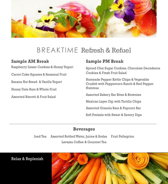

# BREAKTIME Refresh & Refuel

#### **Sample AM Break**

Raspberry Linzer Cookies & Honey Yogurt

Carrot Cake Squares & Seasonal Fruit

Banana Nut Bread & Vanilla Yogurt

Honey Date Bars & Whole Fruit

Assorted Biscotti & Fruit Salad

### **Sample PM Break**

Spiced Chai Sugar Cookies, Chocolate Decadence Cookies & Fresh Fruit Salad

Homeade Pepper Kettle Chips & Vegetable Crudité with Peppercorn Ranch & Red Pepper Hummus

Assorted Bakery Bar Bites & Brownies

Mexican Layer Dip with Tortilla Chips

Assorted Granola Bars & Popcorn Bar

Soft Pretzels with Sweet & Savory Dips

#### **Beverages**

Iced Tea Assorted Bottled Water, Juices & Sodas Fruit Pellegrino Lavazza Coffee & Gourmet Tea



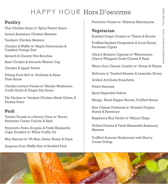# HAPPY HOUR Hors D'oeuvres

## **Poultry**

Thai Chicken Satay w/ Spicy Peanut Sauce

Lemon Rosemary Chicken Skewers

Tandoori Chicken Skewers

Chicken & Waffle w/ Maple Buttercream & Candied Orange Zest

Spinach & Creamy Feta Bouchee

Basil Chicken & Avocado Wonton Cup

Chicken & Apple Tartlet

Peking Duck Roll w/ Scallions & Asian Plum Sauce

Chicken Lettuce Purses w/ Shitake Mushroom, Confit Garlic & Ginger Soy Sauce

Filo Tartlets w/ Smoked Chicken, Black Olives, & Parsley Pesto

## **Pork**

Tomato Tartare in a Savory Cone w/ Bacon-Parmesan Creme Fraiche & Basil

Prosciutto, Pesto, Arugula & Fresh Mozzarella Cigar Drizzled w/ White Truffle Oil

Mini Biscuits w/ VA Ham, Swiss, Honey & Dijon

Jalapeno-Corn Waffle Bite w/Smoked Pork

Prosciutto Purses w/ Hibiscus Mascarpone

# **Vegetarian**

Roasted Grape Crostini w/ Thyme & Ricotta

Truffled Smoked Gorgonzola & Local Honey Parmesan Cigars

Cherry Blossom Caprese w/ Watermelon, Cherry Whipped Goats Cheese & Basil

Warm Goat Cheese Crostini w/ Honey & Thyme

Halloumi w/ Toasted Sesame & Lavender Honey

Grilled Artichoke Bruschetta

Potato Samosas

Spicy Vegetable Pakora

Mango, Black Pepper Ricotta, Truffled Honey

Blue Cheese Flatbread w/ Roasted Grapes, Honey & Rosemary

Raspberry Brie Tartlet w/ Walnut Chips

Grilled Polenta & Fresh Mozzarella Rosemary Skewers

Truffled Arancini Mushrooms with Sherry Cream Dollop

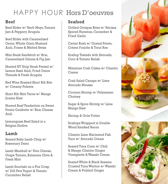# HAPPY HOUR Hors D'oeuvres

### **Beef**

Beef Slider w/ Herb Mayo, Tomato Jam & Peppery Arugula

Beef Slider with Caramelized Onion, Whole Grain Mustard Aioli, Frisee & Melted Swiss

Mini Steak Sandwich w/ Brie, Caramelized Onions & Fig Jam

Shaved NY Strip Steak Pretzel w/ Lemon Basil Aioli, Fried Onion Threads & Fresh Arugula

Red Wine Braised Short Rib Bite w/ Creamy Polenta

Short Rib Mini Tacos w/ Mango Jicama Slaw

Shaved Beef Tenderloin on Sweet Potato Gaufrette w/ Blue Cheese Aioli

Lemongrass Beef Salad in a Belgian Endive

#### **Lamb**

Seared Baby Lamb Chop w/ Rosemary Demi

Lamb Meatball w/ Feta Cheese, Grape Tomato, Kalamata Olive & Fresh Mint

Lamb Souvlaki on a Pita Crisp w/ Dill Feta Yogurt & Tomato Cucumber Relish

### **Seafood**

Grilled Octopus Bites w/ Harissa Spiced Hummus, Cucumber & Fried Garlic

Caviar Rosti w/ Grated Potato, Crème Fraiche & Trout Roe

Scallop Tostada with Avocado, Corn & Tomato Relish

Miniature Crab Cakes w/ Cilantro Creme

Crab Salad Canape w/ Lime Avocado Mousse

Coconut Shrimp w/ Polynesian **Chutney** 

Sugar & Spice Shrimp w/ Lime Mango Slaw

Shrimp & Grits Fritter

Scallops Wrapped in Double Wood Smoked Bacon

Cilantro Lime Marinated Fish Taco w/ Avocado Cream

Seared Tuna Cone w/ Chili & Mango Cilantro Ginger Vinaigrette & Wasabi Cream

Seared White & Black Sesame Crusted Tuna Wonton w/ Wasabi Cream & Pickled Ginger

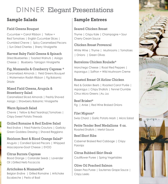# DINNER Elegant Presentations

## **Sample Salads**

#### Field Greens Bouquet

Cucumber + Carrot Ribbon | Yellow + Red Tomatoes | English Cucumber Slices | Crumbled Chevre | Spicy Caramelized Pecans | Sun Dried Cherries | Sherry Vinaigrette

#### Harvest Baby Field Greens & Spinach

Dried Blueberries | Toasted Walnuts | Asiago Cheese | Blueberry- Tarragon Vinaigrette

#### Fig, Mozzarella & Cranberry Caprese \*

Caramelized Almonds | Field Greens Bouquet | Watermelon Radish Ribbon | Fig Balsamic **Drizzle** 

#### Mixed Field Greens, Arugula & Strawberry Salad

Caramelized Sliced Almonds | Freshly Shaved Asiago | Strawberry Balsamic Vinaigrette

#### Warm Spinach Salad Chevre | Yellow & Red Teardrop[ Tomatoes | Crispy Sweet Potato Threads

#### Grilled Romaine & Red Endive Salad

Red Endive | Fried Polenta Croutons | Garlicky Green Goddess Dressing | Shaved Reggiano

#### Heirloom Beet & Blood Orange Salad\* Arugula | Candied Spiced Pecans | Whipped Mascarpone-Goat Cheese | EVOO

Citrus Burrata Caprese Blood Orange | Coriander Seeds | Lavender Oil |Grilled Herb Focaccia

Artichokes & Mozzarella\* Belgian Endive | Grilled Romaine | Artichoke Escabeche | Pesto of Basil

# **Sample Entrees**

#### Seared Chicken Breast

Thyme | Crispy Kale | Champagne + Sour Cherry Cream Sauce

#### Chicken Breast Provencal

White Wine | Thyme | Mushrooms | Tomatoes | Onions | Green Olives

#### Barcelona Chicken Roulade\*

Manchego Cheese | Roast Red Peppers | Asparagus | Saffron + Wild Mushroom Creme

#### Roasted Breast Of Airline Chicken

Red & Golden Beets | Roasted Carrot Purée | Asparagus | Crispy Shallots | Fennel Crumble Citrus Micro Greens |Au Jus

Beef Brisket\* Fig | Anise | Red Wine Braised Onions

Filet Mignon\* Swiss Chard | Garlic Potato Mash | Micro Salad

Petite Tender Beef Medallions 6 oz. Roasted Shallots | Merlot Sauce

Beef Short Ribs Cabernet Braised Red Cabbage | Crispy Parsnips

Citrus Rubbed Skirt Steak Cauliflower Puree | Spring Vegetables

Olive Oil Poached Salmon Green Pea Puree | Sauternes Grape Sauce | Crispy Leeks

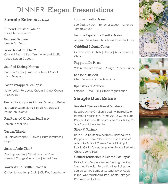# DINNER Elegant Presentations

## **Sample Entrees continued**

Almond Crusted Salmon Leek + Lemon Cream

Sauteed Salmon Lemon Dill Pesto

Roast Local Rockfish\* Charred Rapini | Red Onion + Herbed Scallion Sauce (Green Goddess)

#### Sautéed Shrimp Nantua

Duchess Potato | Julienne of Leek + Carrot Micro Mirepoix

#### Bacon Wrapped Scallops\*

Butterscotch Rutabaga Cream | Crispy Capers | Fresh Parsley

#### Seared Scallops w/ Citrus Tarragon Butter

Red Onion Marmalade | Roast Asparagus | Parmesan Polenta

#### Pan Roasted Chilean Sea Bass\*

Lemon Fennel Aioli

#### Tuscan Tilapia

Tri Colored Peppers | Olives | Plum Tomatoes | Capers

#### Seared Artic Char\*

Pink Peppercorn | Grilled Hearts of Palm | Hazelnut Orange Gremolata | Wilted Kale

#### Warm White Truffle Gnocchi

Chilled Jumbo Lump Crab | Clarified Sage Butter

#### Fontina Risotto Cakes

Sautéed Spinach | Butternut Squash | Charred Tomato Sauce

Lemon-Asparagus Risotto Cakes Arugula|Baby Spinach| Charred Tomato Sauce

Griddled Polenta Cakes Caramelized Shallots | Honey | Mascarpone | Chives

Pappardelle Pasta Wild Mushroom Crema | Asiago | Zucchini Ribbon

Seasonal Ravioli Chefs Seasonal Sauce Selections

Spanakopita Arancini Spinach | Feta| Dill | Greek Yogurt Sauce

# **Sample Duet Entree**

#### Roasted Chicken Breast & Salmon

Roasted Airline Chicken Breast w/ Braised Kale, Roasted Fingerlings & Thyme Au Jus w/ Dill Butter Poached Salmon, Heirloom Baby Carrots, Carrot-Top Pistou & Rye Crumbs

#### Steak & Shrimp

Herb & Garlic Steak Medallions, Finished w/ a Peppercorn Demi Glace Reduction Paired w/ Artichoke & Goat Cheese Stuffed Shrimp & Potato Gratin Tower, Vegetable Bundle Tied w/ a Chinese Long Bean

#### Grilled Tenderloin & Seared Scallops\*

Petite Black Pepper Crusted Filet Mignon Atop Smashed Peruvian Purple Potatoes Paired w/ Seared Jumbo Scallops w/ Cauliflower-Apple Puree, Wild Mushrooms, Pea Shoots, Tarragon, Red Wine Reduction

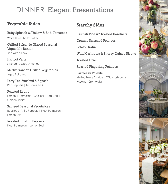# DINNER Elegant Presentations

## **Vegetable Sides**

Baby Spinach w/ Yellow & Red Tomatoes White Wine Shallot Butter

Grilled Balsamic Glazed Seasonal Vegetable Bundle Tied with a Leek

Haricot Verts Slivered Toasted Almonds

Mediterranean Grilled Vegetables Aged Balsamic

Patty Pan Zucchini & Squash Red Peppers | Lemon- Chili Oil

Roasted Rapini Lemon | Parmesan | Shallots | Red Chili | Golden Raisins

Sauteed Seasonal Vegetables Roasted Shishito Peppers | Fresh Parmesan | Lemon Zest

Roasted Shishito Peppers Fresh Parmesan | Lemon Zest

## **Starchy Sides**

Basmati Rice w/ Toasted Hazelnuts

Creamy Smashed Potatoes

Potato Gratin

Wild Mushroom & Sherry Quinoa Risotto

Toasted Orzo

Roasted Fingerling Potatoes

Parmesan Polenta Melted Leeks Fondue | Wild Mushrooms | Hazelnut Gremolata

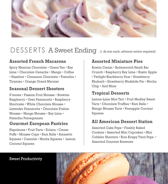

# DESSERTS A Sweet Ending (1 dz min each, advance notice required)

### **Assorted French Macarons**

Spicy Mexican Chocolate • Green Tea • Key Lime • Chocolate Ganache • Mango • Coffee • Hazelnut • Cinnamon Chocolate • Pistachio • Tiramisu • Orange Grand Marnier

#### **Seasonal Dessert Shooters**

S'mores • Passion Fruit Mousse • Brownie Raspberry • Oreo Pannacotta • Raspberry Shortcake • White Chocolate Mousse • Lavender Pannacotta • Chocolate Praline Mousse • Mango Mousse • Key Lime • Pistachio Pomegranate

#### **Gourmet European Pastries**

Napoleons • Fruit Tarts • Eclairs • Cream Puffs • Mousse Cups • Rum Balls • Amaretto Squares • Cannolis • Mocha Squares • Lemon Coconut Squares

### **Assorted Miniature Pies**

Boston Cream • Butterscotch Heath Bar Crunch • Raspberry Key Lime • Rustic Apple • Twilight Blackberry Pear • Strawberry Rhubarb • Strawberry Mudslide Pie • Mocha Chip • And More

### **Tropical Desserts**

Lemon-Lime Mini Tart • Fruit Medley Sweet Tarts • Chocolate Truffles • Rum Balls • Mango Mousse Tarts • Pineapple Coconut Squares

### **All American Dessert Station**

Assorted Cake Pops • Freshly Baked Cookies • Assorted Mini Cupcakes • Mini Cobbler Shooters • Rice Krispy Treat Pops • Assorted Gourmet Brownies

#### Sweet Productivity

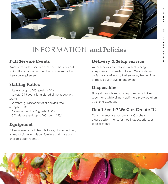

# INFORMATION and Policies

### **Full Service Events**

Amphora's professional team of chefs, bartenders & waitstaff, can accomodate all of your event staffing & service requirements.

## **Staffing Ratios**

1 Supervisor up to 200 guests, \$40/hr 1 Server/10-15 guests for a plated dinner reception, \$35/hr 1 Server/25 guests for buffet or cocktail style reception, \$35/hr 1 Bartender per 50 - 75 guests, \$35/hr 1-3 Chefs for events up to 200 guests, \$35/hr

## **Equipment**

Full service rentals of china, flatware, glassware, linen, tables, chairs, event decor, furniture and more are available upon request.

# **Delivery & Setup Service**

We deliver your order to you with all serving equipment and utensils included. Our courteous professional delivery staff will set everything up in an attractive buffet style arrangement.

## **Disposables**

Sturdy disposable recyclable plates, forks, knives, spoons and white dinner napkins are provided at an additional \$2/guest.

## **Don't See It? We Can Create It!**

Custom menus are our specialty! Our chefs create custom menus for meetings, occasions, or special events.